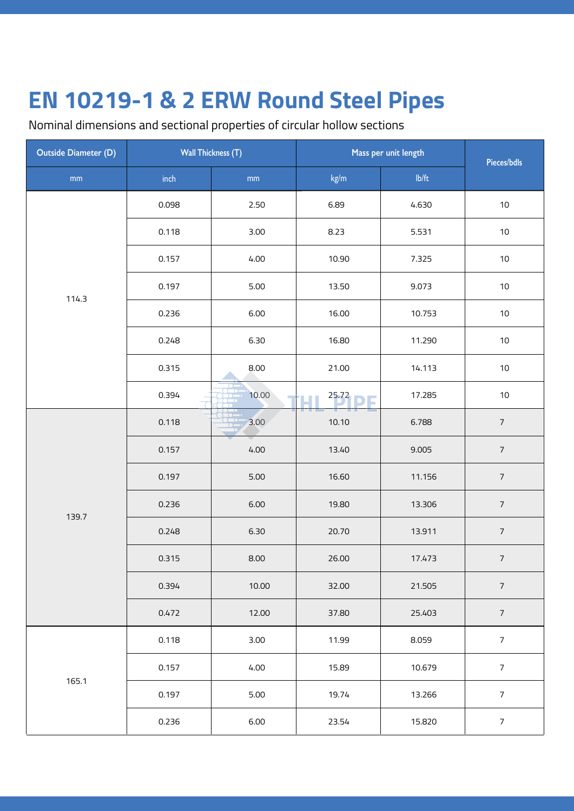Nominal dimensions and sectional properties of circular hollow sections

| <b>Outside Diameter (D)</b> | <b>Wall Thickness (T)</b> |               | Mass per unit length | Pieces/bdls |                 |
|-----------------------------|---------------------------|---------------|----------------------|-------------|-----------------|
| $\mathsf{mm}$               | $\mathsf{inch}$           | $\mathsf{mm}$ | kg/m                 | lb/ft       |                 |
|                             | 0.098                     | 2.50          | 6.89                 | 4.630       | 10              |
|                             | 0.118                     | 3.00          | 8.23                 | 5.531       | 10              |
|                             | 0.157                     | 4.00          | 10.90                | 7.325       | 10              |
| 114.3                       | 0.197                     | $5.00$        | 13.50                | 9.073       | 10 <sub>1</sub> |
|                             | 0.236                     | 6.00          | 16.00                | 10.753      | 10              |
|                             | 0.248                     | 6.30          | 16.80                | 11.290      | 10              |
|                             | 0.315                     | 8.00          | 21.00                | 14.113      | 10              |
|                             | 0.394                     | 10.00         | 25.72                | 17.285      | $10$            |
|                             | 0.118                     | 3.00          | 10.10                | 6.788       | $\sqrt{ }$      |
|                             | 0.157                     | 4.00          | 13.40                | 9.005       | $\overline{7}$  |
| 139.7                       | 0.197                     | $5.00$        | 16.60                | 11.156      | $\overline{7}$  |
|                             | 0.236                     | 6.00          | 19.80                | 13.306      | $\sqrt{ }$      |
|                             | 0.248                     | 6.30          | 20.70                | 13.911      | $\overline{7}$  |
|                             | 0.315                     | 8.00          | 26.00                | 17.473      | $\overline{7}$  |
|                             | 0.394                     | 10.00         | 32.00                | 21.505      | $\overline{7}$  |
|                             | 0.472                     | 12.00         | 37.80                | 25.403      | $\sqrt{ }$      |
|                             | 0.118                     | 3.00          | 11.99                | 8.059       | $\overline{7}$  |
|                             | 0.157                     | 4.00          | 15.89                | 10.679      | $\overline{7}$  |
| 165.1                       | 0.197                     | $5.00$        | 19.74                | 13.266      | $\overline{7}$  |
|                             | 0.236                     | 6.00          | 23.54                | 15.820      | $\overline{7}$  |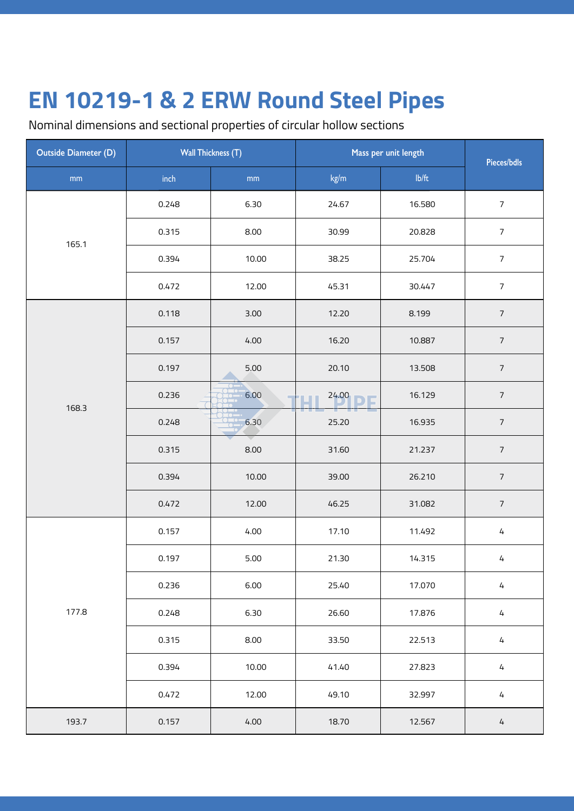Nominal dimensions and sectional properties of circular hollow sections

| <b>Outside Diameter (D)</b> | <b>Wall Thickness (T)</b> |        | Mass per unit length | Pieces/bdls |                  |
|-----------------------------|---------------------------|--------|----------------------|-------------|------------------|
| mm                          | inch                      | mm     | kg/m                 | lb/ft       |                  |
|                             | 0.248                     | 6.30   | 24.67                | 16.580      | $\overline{7}$   |
| 165.1                       | 0.315                     | 8.00   | 30.99                | 20.828      | $\overline{7}$   |
|                             | 0.394                     | 10.00  | 38.25                | 25.704      | $\overline{7}$   |
|                             | 0.472                     | 12.00  | 45.31                | 30.447      | $\sqrt{ }$       |
|                             | 0.118                     | 3.00   | 12.20                | 8.199       | $\overline{7}$   |
|                             | 0.157                     | 4.00   | 16.20                | 10.887      | $\sqrt{ }$       |
|                             | 0.197                     | 5.00   | 20.10                | 13.508      | $\sqrt{ }$       |
| 168.3                       | 0.236                     | 6.00   | 24.00                | 16.129      | $\boldsymbol{7}$ |
|                             | 0.248                     | 6.30   | 25.20                | 16.935      | $\sqrt{ }$       |
|                             | 0.315                     | 8.00   | 31.60                | 21.237      | $\sqrt{ }$       |
|                             | 0.394                     | 10.00  | 39.00                | 26.210      | $\boldsymbol{7}$ |
|                             | 0.472                     | 12.00  | 46.25                | 31.082      | $\boldsymbol{7}$ |
|                             | 0.157                     | 4.00   | 17.10                | 11.492      | $\sqrt{4}$       |
|                             | 0.197                     | $5.00$ | 21.30                | 14.315      | 4                |
|                             | 0.236                     | 6.00   | 25.40                | 17.070      | 4                |
| 177.8                       | 0.248                     | 6.30   | 26.60                | 17.876      | $\sqrt{4}$       |
|                             | 0.315                     | 8.00   | 33.50                | 22.513      | $\sqrt{4}$       |
|                             | 0.394                     | 10.00  | 41.40                | 27.823      | $\sqrt{4}$       |
|                             | 0.472                     | 12.00  | 49.10                | 32.997      | $\sqrt{4}$       |
| 193.7                       | 0.157                     | 4.00   | 18.70                | 12.567      | 4                |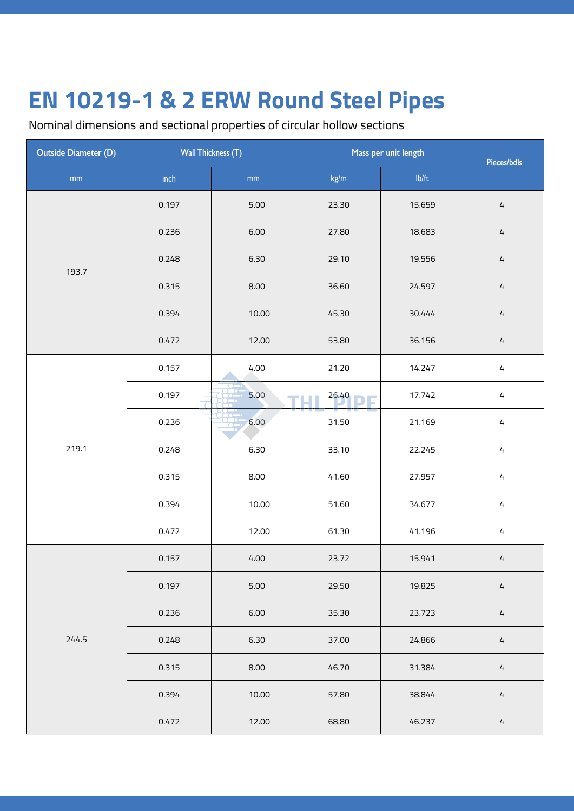Nominal dimensions and sectional properties of circular hollow sections

| <b>Outside Diameter (D)</b> | <b>Wall Thickness (T)</b> |               | Mass per unit length | Pieces/bdls |            |
|-----------------------------|---------------------------|---------------|----------------------|-------------|------------|
| mm                          | inch                      | $\mathsf{mm}$ | kg/m                 | Ib/ft       |            |
|                             | 0.197                     | $5.00$        | 23.30                | 15.659      | $\sqrt{4}$ |
|                             | 0.236                     | 6.00          | 27.80                | 18.683      | $\sqrt{4}$ |
| 193.7                       | 0.248                     | 6.30          | 29.10                | 19.556      | $\sqrt{4}$ |
|                             | 0.315                     | 8.00          | 36.60                | 24.597      | $\sqrt{4}$ |
|                             | 0.394                     | 10.00         | 45.30                | 30.444      | $\sqrt{4}$ |
|                             | 0.472                     | 12.00         | 53.80                | 36.156      | $\sqrt{4}$ |
|                             | 0.157                     | 4.00          | 21.20                | 14.247      | $\sqrt{4}$ |
|                             | 0.197                     | 5.00          | 26.40                | 17.742      | $\sqrt{4}$ |
|                             | 0.236                     | 6.00          | 31.50                | 21.169      | $\sqrt{4}$ |
| 219.1                       | 0.248                     | 6.30          | 33.10                | 22.245      | $\sqrt{4}$ |
|                             | 0.315                     | 8.00          | 41.60                | 27.957      | $\sqrt{4}$ |
|                             | 0.394                     | 10.00         | 51.60                | 34.677      | $\sqrt{4}$ |
|                             | 0.472                     | 12.00         | 61.30                | 41.196      | $\sqrt{4}$ |
|                             | 0.157                     | 4.00          | 23.72                | 15.941      | $\sqrt{4}$ |
|                             | 0.197                     | 5.00          | 29.50                | 19.825      | $\sqrt{4}$ |
|                             | 0.236                     | 6.00          | 35.30                | 23.723      | $\sqrt{4}$ |
| 244.5                       | 0.248                     | 6.30          | 37.00                | 24.866      | $\sqrt{4}$ |
|                             | 0.315                     | 8.00          | 46.70                | 31.384      | $\sqrt{4}$ |
|                             | 0.394                     | 10.00         | 57.80                | 38.844      | $\sqrt{4}$ |
|                             | 0.472                     | 12.00         | 68.80                | 46.237      | 4          |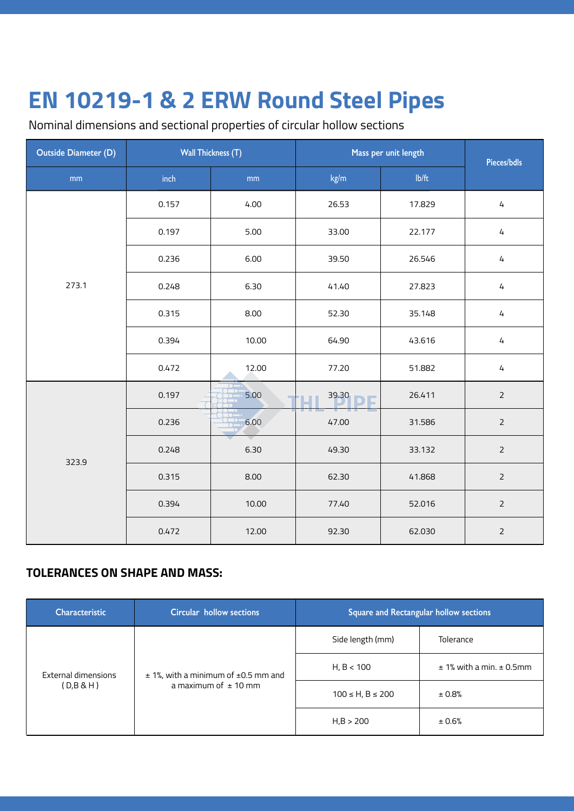Nominal dimensions and sectional properties of circular hollow sections

| Outside Diameter (D) | <b>Wall Thickness (T)</b> |               | Mass per unit length | Pieces/bdls |                |
|----------------------|---------------------------|---------------|----------------------|-------------|----------------|
| mm                   | inch                      | $\mathsf{mm}$ | kg/m                 | Ib/ft       |                |
|                      | 0.157                     | 4.00          | 26.53                | 17.829      | $\sqrt{4}$     |
|                      | 0.197                     | 5.00          | 33.00                | 22.177      | $\sqrt{4}$     |
|                      | 0.236                     | 6.00          | 39.50                | 26.546      | $\sqrt{4}$     |
| 273.1                | 0.248                     | 6.30          | 41.40                | 27.823      | $\sqrt{4}$     |
|                      | 0.315                     | 8.00          | 52.30                | 35.148      | $\sqrt{4}$     |
|                      | 0.394                     | 10.00         | 64.90                | 43.616      | $\sqrt{4}$     |
|                      | 0.472                     | 12.00         | 77.20                | 51.882      | $\sqrt{4}$     |
|                      | 0.197                     | 5.00          | 39.30                | 26.411      | $\overline{2}$ |
|                      | 0.236                     | $-6.00$       | 47.00                | 31.586      | $\overline{2}$ |
|                      | 0.248                     | 6.30          | 49.30                | 33.132      | $\overline{2}$ |
| 323.9                | 0.315                     | 8.00          | 62.30                | 41.868      | $\mathsf{2}$   |
|                      | 0.394                     | 10.00         | 77.40                | 52.016      | $\mathsf{2}$   |
|                      | 0.472                     | 12.00         | 92.30                | 62.030      | $\overline{2}$ |

#### **TOLERANCES ON SHAPE AND MASS:**

| <b>Characteristic</b>            | Circular hollow sections                                                 |                        | <b>Square and Rectangular hollow sections</b> |
|----------------------------------|--------------------------------------------------------------------------|------------------------|-----------------------------------------------|
| External dimensions<br>(D,B & H) |                                                                          | Side length (mm)       | <b>Tolerance</b>                              |
|                                  | $\pm$ 1%, with a minimum of $\pm$ 0.5 mm and<br>a maximum of $\pm$ 10 mm | H, B < 100             | $± 1%$ with a min. $± 0.5$ mm                 |
|                                  |                                                                          | $100 \le H, B \le 200$ | ± 0.8%                                        |
|                                  |                                                                          | H,B > 200              | ± 0.6%                                        |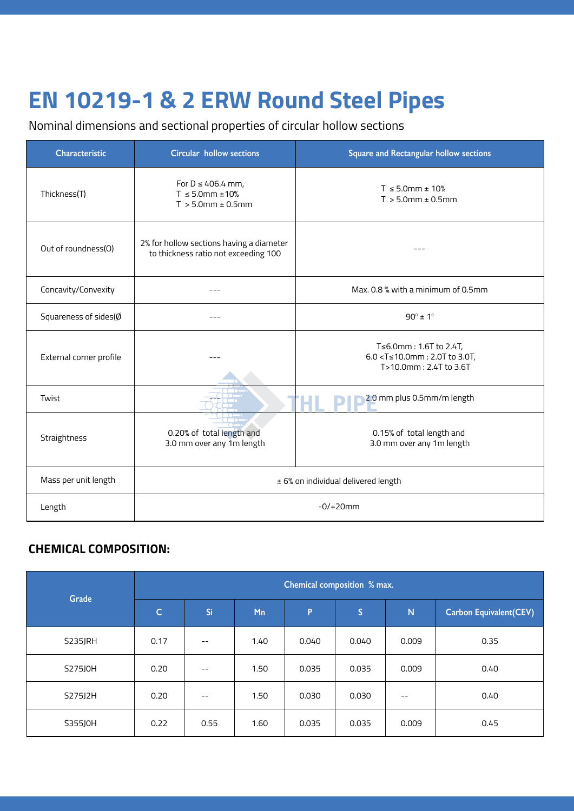# **EN 10219-1 & 2 ERW Round Steel Pipes**

Nominal dimensions and sectional properties of circular hollow sections

| <b>Characteristic</b>            | <b>Circular hollow sections</b>                                                  | Square and Rectangular hollow sections                                                                       |  |  |  |
|----------------------------------|----------------------------------------------------------------------------------|--------------------------------------------------------------------------------------------------------------|--|--|--|
| Thickness(T)                     | For $D \leq 406.4$ mm,<br>$T \le 5.0$ mm ± 10%<br>$T > 5.0$ mm $\pm 0.5$ mm      | $T \le 5.0$ mm ± 10%<br>$T > 5.0$ mm $\pm$ 0.5mm                                                             |  |  |  |
| Out of roundness(O)              | 2% for hollow sections having a diameter<br>to thickness ratio not exceeding 100 |                                                                                                              |  |  |  |
| Concavity/Convexity              |                                                                                  | Max, 0.8 % with a minimum of 0.5mm                                                                           |  |  |  |
| Squareness of sides( $\emptyset$ |                                                                                  | $90^{\circ} \pm 1^{\circ}$                                                                                   |  |  |  |
| External corner profile          |                                                                                  | T≤6.0mm : 1.6T to 2.4T,<br>6.0 <t≤10.0mm 2.0t="" 3.0t,<br="" :="" to="">T&gt;10.0mm: 2.4T to 3.6T</t≤10.0mm> |  |  |  |
| Twist                            |                                                                                  | 2.0 mm plus 0.5mm/m length                                                                                   |  |  |  |
| Straightness                     | 0.20% of total length and<br>3.0 mm over any 1m length                           | 0.15% of total length and<br>3.0 mm over any 1m length                                                       |  |  |  |
| Mass per unit length             | ± 6% on individual delivered length                                              |                                                                                                              |  |  |  |
| Length                           | $-0/+20mm$                                                                       |                                                                                                              |  |  |  |

### **CHEMICAL COMPOSITION:**

| Grade   |              |       |      | Chemical composition % max. |              |       |                                |
|---------|--------------|-------|------|-----------------------------|--------------|-------|--------------------------------|
|         | $\mathsf{C}$ | Si    | Mn   | P                           | $\mathsf{S}$ | N     | <b>Carbon Equivalent (CEV)</b> |
| S235JRH | 0.17         | $- -$ | 1.40 | 0.040                       | 0.040        | 0.009 | 0.35                           |
| S275J0H | 0.20         | $- -$ | 1.50 | 0.035                       | 0.035        | 0.009 | 0.40                           |
| S275J2H | 0.20         | $- -$ | 1.50 | 0.030                       | 0.030        | $- -$ | 0.40                           |
| S355J0H | 0.22         | 0.55  | 1.60 | 0.035                       | 0.035        | 0.009 | 0.45                           |